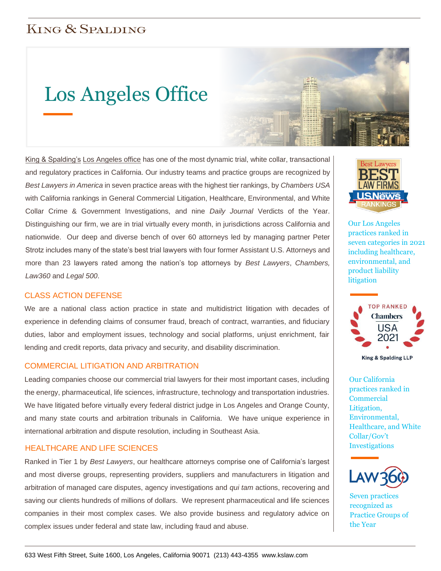# **KING & SPALDING**

# Los Angeles Office

[King & Spalding's](https://www.kslaw.com/) [Los Angeles office](https://www.kslaw.com/offices/los-angeles?locale=en) has one of the most dynamic trial, white collar, transactional and regulatory practices in California. Our industry teams and practice groups are recognized by *Best Lawyers in America* in seven practice areas with the highest tier rankings, by *Chambers USA*  with California rankings in General Commercial Litigation, Healthcare, Environmental, and White Collar Crime & Government Investigations, and nine *Daily Journal* Verdicts of the Year. Distinguishing our firm, we are in trial virtually every month, in jurisdictions across California and nationwide. Our deep and diverse bench of over 60 attorneys led by managing partner Peter Strotz includes many of the state's best trial lawyers with four former Assistant U.S. Attorneys and more than 23 lawyers rated among the nation's top attorneys by *Best Lawyers*, *Chambers, Law360* and *Legal 500*.

# [CLASS ACTION DEFENSE](https://www.kslaw.com/capabilities/class-action-defense)

We are a national class action practice in state and multidistrict litigation with decades of experience in defending claims of consumer fraud, breach of contract, warranties, and fiduciary duties, labor and employment issues, technology and social platforms, unjust enrichment, fair lending and credit reports, data privacy and security, and disability discrimination.

#### [COMMERCIAL LITIGATION AND ARBITRATION](https://www.kslaw.com/capabilities/commercial-litigation)

Leading companies choose our commercial trial lawyers for their most important cases, including the energy, pharmaceutical, life sciences, infrastructure, technology and transportation industries. We have litigated before virtually every federal district judge in Los Angeles and Orange County, and many state courts and arbitration tribunals in California. We have unique experience in international arbitration and dispute resolution, including in Southeast Asia.

# [HEALTHCARE](https://www.kslaw.com/capabilities/healthcare?locale=en) AND [LIFE SCIENCES](https://www.kslaw.com/capabilities/fda-and-life-sciences?locale=en)

Ranked in Tier 1 by *Best Lawyers*, our healthcare attorneys comprise one of California's largest and most diverse groups, representing providers, suppliers and manufacturers in litigation and arbitration of managed care disputes, agency investigations and *qui tam* actions, recovering and saving our clients hundreds of millions of dollars. We represent pharmaceutical and life sciences companies in their most complex cases. We also provide business and regulatory advice on complex issues under federal and state law, including fraud and abuse.



Our Los Angeles practices ranked in seven categories in 2021 including healthcare, environmental, and product liability litigation



Our California

practices ranked in **Commercial** Litigation, Environmental, Healthcare, and White Collar/Gov't Investigations



Seven practices recognized as Practice Groups of the Year